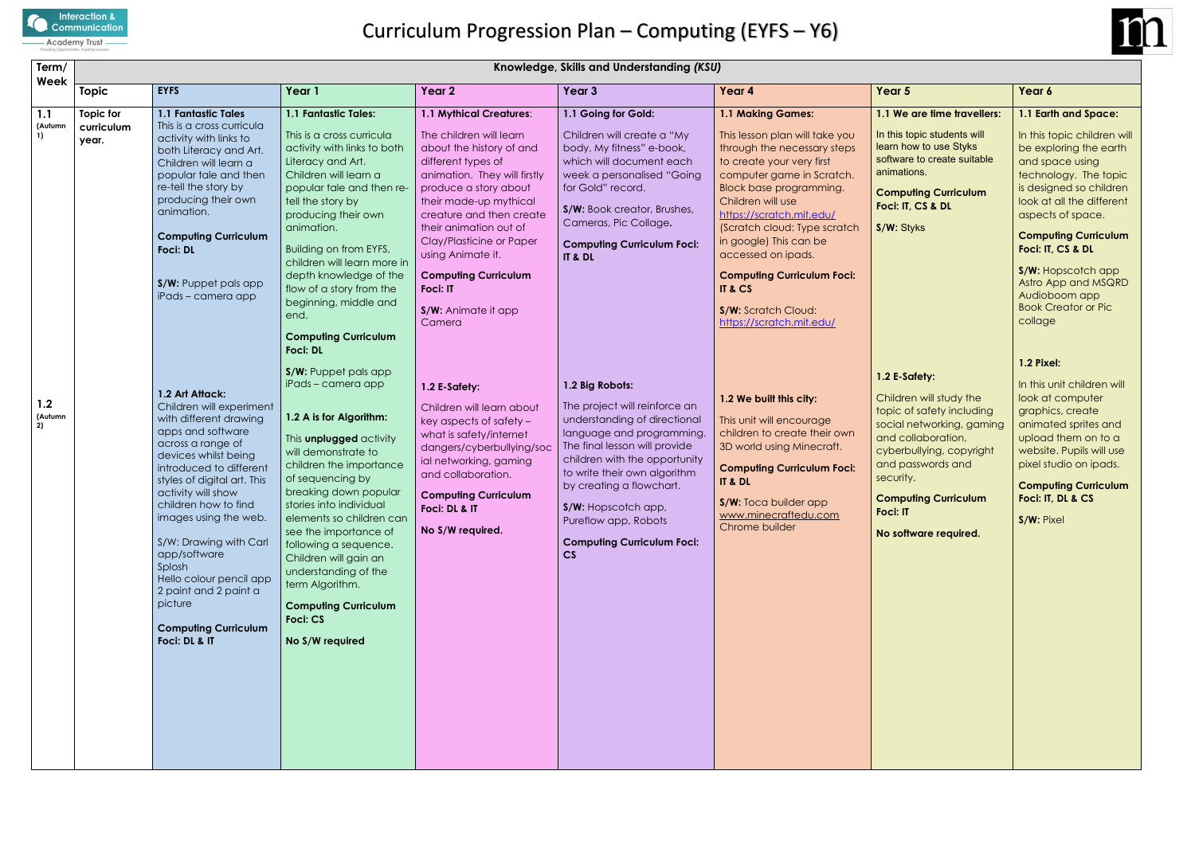

### **uting Curriculum Foci: IT, CS & DL**

| Term/<br>Week        | Knowledge, Skills and Understanding (KSU) |                                                                                                                                                                                                                                                                                                                                                                                                                                             |                                                                                                                                                                                                                                                                                                                                                                                                                                                        |                                                                                                                                                                                                                                                                                                                                                                                   |                                                                                                                                                                                                                                                                                                                                       |                                                                                                                                                                                                                                                                                                                                                                                                                           |                                                                                                                                                                                                                                                            |                                                                                                                                                                                               |  |
|----------------------|-------------------------------------------|---------------------------------------------------------------------------------------------------------------------------------------------------------------------------------------------------------------------------------------------------------------------------------------------------------------------------------------------------------------------------------------------------------------------------------------------|--------------------------------------------------------------------------------------------------------------------------------------------------------------------------------------------------------------------------------------------------------------------------------------------------------------------------------------------------------------------------------------------------------------------------------------------------------|-----------------------------------------------------------------------------------------------------------------------------------------------------------------------------------------------------------------------------------------------------------------------------------------------------------------------------------------------------------------------------------|---------------------------------------------------------------------------------------------------------------------------------------------------------------------------------------------------------------------------------------------------------------------------------------------------------------------------------------|---------------------------------------------------------------------------------------------------------------------------------------------------------------------------------------------------------------------------------------------------------------------------------------------------------------------------------------------------------------------------------------------------------------------------|------------------------------------------------------------------------------------------------------------------------------------------------------------------------------------------------------------------------------------------------------------|-----------------------------------------------------------------------------------------------------------------------------------------------------------------------------------------------|--|
|                      | <b>Topic</b>                              | <b>EYFS</b>                                                                                                                                                                                                                                                                                                                                                                                                                                 | Year 1                                                                                                                                                                                                                                                                                                                                                                                                                                                 | Year <sub>2</sub>                                                                                                                                                                                                                                                                                                                                                                 | Year <sub>3</sub>                                                                                                                                                                                                                                                                                                                     | Year 4                                                                                                                                                                                                                                                                                                                                                                                                                    | Year 5                                                                                                                                                                                                                                                     | Year 6                                                                                                                                                                                        |  |
| 1.1<br>(Autumn<br>1) | Topic for<br>curriculum<br>year.          | 1.1 Fantastic Tales<br>This is a cross curricula<br>activity with links to<br>both Literacy and Art.<br>Children will learn a<br>popular tale and then<br>re-tell the story by<br>producing their own<br>animation.<br><b>Computing Curriculum</b><br><b>Foci: DL</b><br>S/W: Puppet pals app<br>iPads - camera app                                                                                                                         | 1.1 Fantastic Tales:<br>This is a cross curricula<br>activity with links to both<br>Literacy and Art.<br>Children will learn a<br>popular tale and then re-<br>tell the story by<br>producing their own<br>animation.<br>Building on from EYFS,<br>children will learn more in<br>depth knowledge of the<br>flow of a story from the<br>beginning, middle and<br>end.<br><b>Computing Curriculum</b><br><b>Foci: DL</b><br><b>S/W:</b> Puppet pals app | 1.1 Mythical Creatures:<br>The children will learn<br>about the history of and<br>different types of<br>animation. They will firstly<br>produce a story about<br>their made-up mythical<br>creature and then create<br>their animation out of<br>Clay/Plasticine or Paper<br>using Animate it.<br><b>Computing Curriculum</b><br><b>Foci: IT</b><br>S/W: Animate it app<br>Camera | 1.1 Going for Gold:<br>Children will create a "My<br>body, My fitness" e-book,<br>which will document each<br>week a personalised "Going<br>for Gold" record.<br>S/W: Book creator, Brushes,<br>Cameras, Pic Collage.<br><b>Computing Curriculum Foci:</b><br>IT & DL                                                                 | 1.1 Making Games:<br>This lesson plan will take you<br>through the necessary steps<br>to create your very first<br>computer game in Scratch.<br><b>Block base programming.</b><br>Children will use<br>https://scratch.mit.edu/<br>(Scratch cloud: Type scratch<br>in google) This can be<br>accessed on ipads.<br><b>Computing Curriculum Foci:</b><br>IT & CS<br><b>S/W:</b> Scratch Cloud:<br>https://scratch.mit.edu/ | 1.1 We are time travellers:<br>In this topic students will<br>learn how to use Styks<br>software to create suitable<br>animations.<br><b>Computing Curriculum</b><br>Foci: IT, CS & DL<br>S/W: Styks                                                       | 1.1 Ear<br>In this t<br>be exp<br>and sp<br>techno<br>is desig<br>look at<br>aspect<br>Compu<br><b>Foci: IT</b><br>S/W: H<br>Astro A<br>Audiok<br><b>Book C</b><br>collage<br><b>1.2 Pixe</b> |  |
| 1.2<br>(Autumn<br>2) |                                           | 1.2 Art Attack:<br>Children will experiment<br>with different drawing<br>apps and software<br>across a range of<br>devices whilst being<br>introduced to different<br>styles of digital art. This<br>activity will show<br>children how to find<br>images using the web.<br>S/W: Drawing with Carl<br>app/software<br>Splosh<br>Hello colour pencil app<br>2 paint and 2 paint a<br>picture<br><b>Computing Curriculum</b><br>Foci: DL & IT | iPads - camera app<br>1.2 A is for Algorithm:<br>This <b>unplugged</b> activity<br>will demonstrate to<br>children the importance<br>of sequencing by<br>breaking down popular<br>stories into individual<br>elements so children can<br>see the importance of<br>following a sequence.<br>Children will gain an<br>understanding of the<br>term Algorithm.<br><b>Computing Curriculum</b><br>Foci: CS<br>No S/W required                              | 1.2 E-Safety:<br>Children will learn about<br>key aspects of safety -<br>what is safety/internet<br>dangers/cyberbullying/soc<br>ial networking, gaming<br>and collaboration.<br><b>Computing Curriculum</b><br>Foci: DL & IT<br>No S/W required.                                                                                                                                 | 1.2 Big Robots:<br>The project will reinforce an<br>understanding of directional<br>language and programming.<br>The final lesson will provide<br>children with the opportunity<br>to write their own algorithm<br>by creating a flowchart.<br>S/W: Hopscotch app,<br>Pureflow app, Robots<br><b>Computing Curriculum Foci:</b><br>CS | 1.2 We built this city:<br>This unit will encourage<br>children to create their own<br>3D world using Minecraft.<br><b>Computing Curriculum Foci:</b><br>IT & DL<br>S/W: Toca builder app<br>www.minecraftedu.com<br>Chrome builder                                                                                                                                                                                       | 1.2 E-Safety:<br>Children will study the<br>topic of safety including<br>social networking, gaming<br>and collaboration,<br>cyberbullying, copyright<br>and passwords and<br>security.<br><b>Computing Curriculum</b><br>Foci: IT<br>No software required. | In this u<br>look at<br>graphi<br>anima<br>upload<br>website<br>pixel st<br>Compu<br><b>Foci: IT</b><br>S/W: Pi                                                                               |  |



#### **t** are time travellers:

> **S/W:** Hopscotch app Astro App and MSQRD Audioboom app Book Creator or Pic collage

# **iafety:**

# **uting Curriculum**

### **1.1 Earth and Space:**

In this topic children will be exploring the earth and space using technology. The topic is designed so children look at all the different aspects of space.

### **Computing Curriculum Foci: IT, CS & DL**

# **1.2 Pixel:**

In this unit children will look at computer graphics, create animated sprites and upload them on to a website. Pupils will use pixel studio on ipads.

#### **Computing Curriculum Foci: IT, DL & CS**

**S/W:** Pixel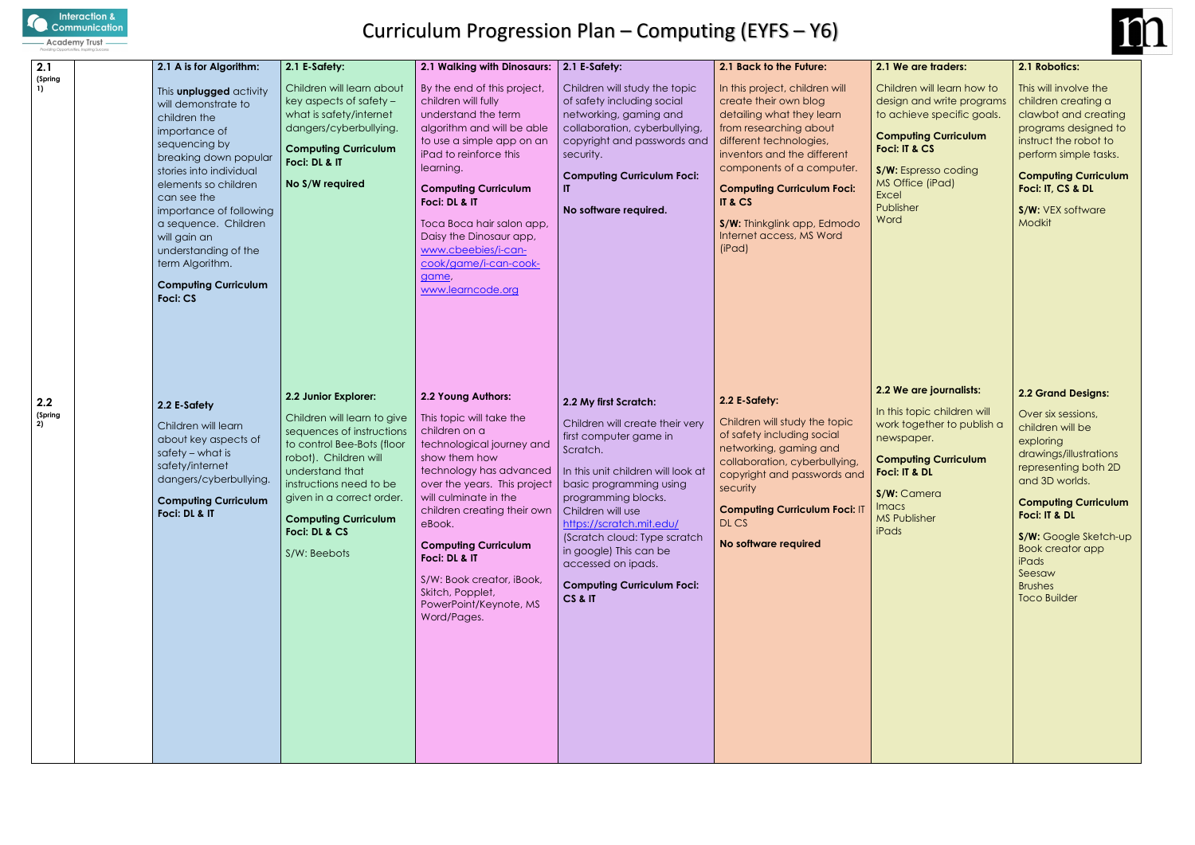

# Curriculum Progression Plan – Computing (EYFS – Y6)

#### **puting Curriculum Foci: IT & DL**

Camera 'ublisher

| 2.1                       | 2.1 A is for Algorithm:                                                                                                                                                                                                                                                                                                                              | 2.1 E-Safety:                                                                                                                                                                                                                                                                      | 2.1 Walking with Dinosaurs:                                                                                                                                                                                                                                                                                                                                                          | 2.1 E-Safety:                                                                                                                                                                                                                                                                                                                                                         | 2.1 Back to the Future:                                                                                                                                                                                                                                                                                                    | $2.1$ We                                                                                            |
|---------------------------|------------------------------------------------------------------------------------------------------------------------------------------------------------------------------------------------------------------------------------------------------------------------------------------------------------------------------------------------------|------------------------------------------------------------------------------------------------------------------------------------------------------------------------------------------------------------------------------------------------------------------------------------|--------------------------------------------------------------------------------------------------------------------------------------------------------------------------------------------------------------------------------------------------------------------------------------------------------------------------------------------------------------------------------------|-----------------------------------------------------------------------------------------------------------------------------------------------------------------------------------------------------------------------------------------------------------------------------------------------------------------------------------------------------------------------|----------------------------------------------------------------------------------------------------------------------------------------------------------------------------------------------------------------------------------------------------------------------------------------------------------------------------|-----------------------------------------------------------------------------------------------------|
| (Spring<br>$\overline{1}$ | This unplugged activity<br>will demonstrate to<br>children the<br>importance of<br>sequencing by<br>breaking down popular<br>stories into individual<br>elements so children<br>can see the<br>importance of following<br>a sequence. Children<br>will gain an<br>understanding of the<br>term Algorithm.<br><b>Computing Curriculum</b><br>Foci: CS | Children will learn about<br>key aspects of safety -<br>what is safety/internet<br>dangers/cyberbullying.<br><b>Computing Curriculum</b><br>Foci: DL & IT<br>No S/W required                                                                                                       | By the end of this project,<br>children will fully<br>understand the term<br>algorithm and will be able<br>to use a simple app on an<br>iPad to reinforce this<br>learning.<br><b>Computing Curriculum</b><br>Foci: DL & IT<br>Toca Boca hair salon app,<br>Daisy the Dinosaur app,<br>www.cbeebies/i-can-<br>cook/game/i-can-cook-<br>game,<br>www.learncode.org                    | Children will study the topic<br>of safety including social<br>networking, gaming and<br>collaboration, cyberbullying,<br>copyright and passwords and<br>security.<br><b>Computing Curriculum Foci:</b><br>IT.<br>No software required.                                                                                                                               | In this project, children will<br>create their own blog<br>detailing what they learn<br>from researching about<br>different technologies,<br>inventors and the different<br>components of a computer.<br><b>Computing Curriculum Foci:</b><br>IT & CS<br>S/W: Thinkglink app, Edmodo<br>Internet access, MS Word<br>(iPad) | Childr<br>design<br>to acl<br>Comp<br>Foci: I<br>S/W: E<br>MS Of<br><b>Excel</b><br>Publis<br>Word  |
| 2.2<br>(Spring<br>2)      | 2.2 E-Safety<br>Children will learn<br>about key aspects of<br>$s$ afety $-$ what is<br>safety/internet<br>dangers/cyberbullying.<br><b>Computing Curriculum</b><br>Foci: DL & IT                                                                                                                                                                    | 2.2 Junior Explorer:<br>Children will learn to give<br>sequences of instructions<br>to control Bee-Bots (floor<br>robot). Children will<br>understand that<br>instructions need to be<br>given in a correct order.<br><b>Computing Curriculum</b><br>Foci: DL & CS<br>S/W: Beebots | 2.2 Young Authors:<br>This topic will take the<br>children on a<br>technological journey and<br>show them how<br>technology has advanced<br>over the years. This project<br>will culminate in the<br>children creating their own<br>eBook.<br><b>Computing Curriculum</b><br>Foci: DL & IT<br>S/W: Book creator, iBook,<br>Skitch, Popplet,<br>PowerPoint/Keynote, MS<br>Word/Pages. | 2.2 My first Scratch:<br>Children will create their very<br>first computer game in<br>Scratch.<br>In this unit children will look at<br>basic programming using<br>programming blocks.<br>Children will use<br>https://scratch.mit.edu/<br>(Scratch cloud: Type scratch<br>in google) This can be<br>accessed on ipads.<br><b>Computing Curriculum Foci:</b><br>CS&IT | 2.2 E-Safety:<br>Children will study the topic<br>of safety including social<br>networking, gaming and<br>collaboration, cyberbullying,<br>copyright and passwords and<br>security<br><b>Computing Curriculum Foci: IT</b><br>DL CS<br>No software required                                                                | $2.2$ We<br>In this<br>work t<br>newsp<br>Comp<br>Foci: I<br>S/W:<br>Imacs<br>MS Pu<br><b>iPads</b> |



**S/W:** VEX software Modkit

#### **2.1 We are traders:**

dren will learn how to gn and write programs chieve specific goals.

#### **Computing Curriculum Foci: IT & CS**

Espresso coding Office (iPad)

isher

# **2.2 We are journalists:**

is topic children will together to publish a spaper.

#### **2.1 Robotics:**

This will involve the children creating a clawbot and creating programs designed to instruct the robot to perform simple tasks.

#### **Computing Curriculum Foci: IT, CS & DL**

### **2.2 Grand Designs:**

Over six sessions, children will be exploring drawings/illustrations representing both 2D and 3D worlds.

### **Computing Curriculum Foci: IT & DL**

**S/W:** Google Sketch-up Book creator app iPads Seesaw Brushes Toco Builder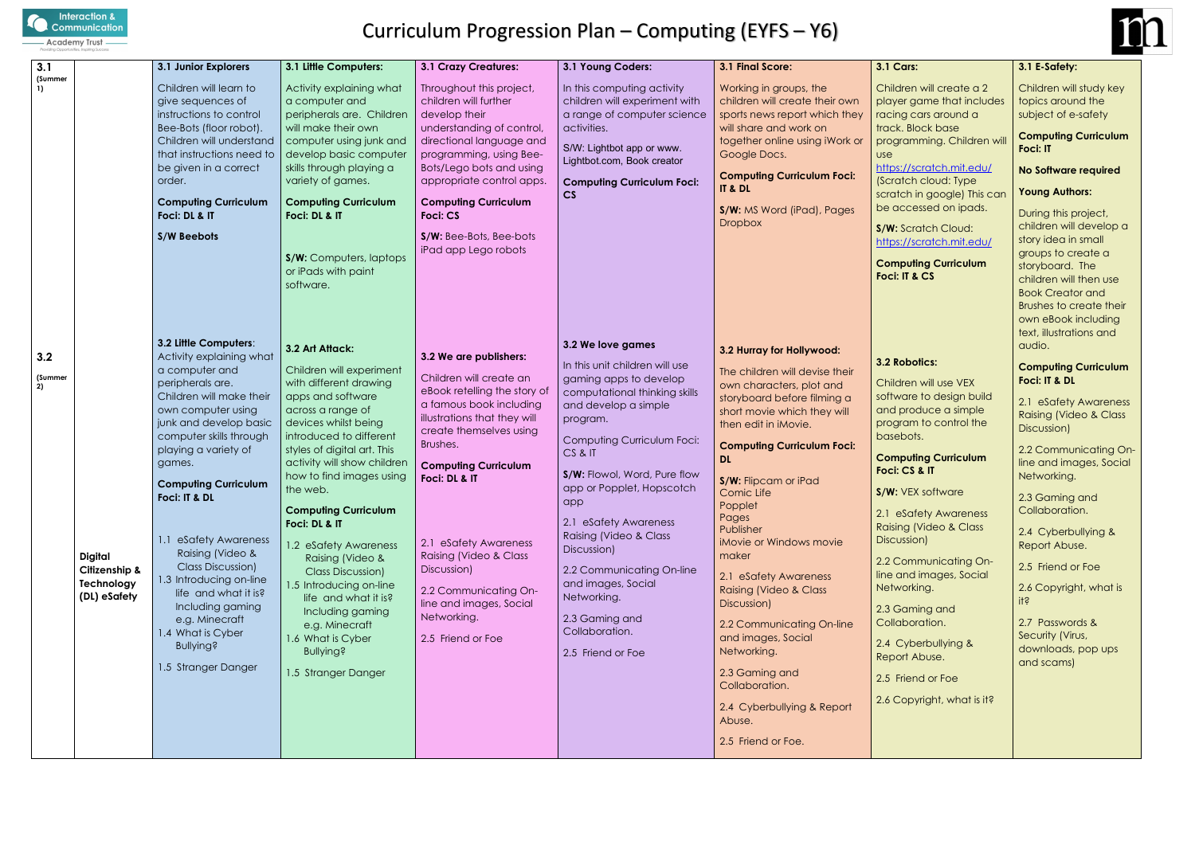

# Curriculum Progression Plan – Computing (EYFS – Y6)

| 3.1                  |                                                               | 3.1 Junior Explorers                                                                                                                                                                                                                                                                                                                                                                                                                                                                                 | 3.1 Little Computers:                                                                                                                                                                                                                                                                                                                                                                                                                                                                                                                                      | <b>3.1 Crazy Creatures:</b>                                                                                                                                                                                                                                                                                                                                                                   | 3.1 Young Coders:                                                                                                                                                                                                                                                                                                                                                                                                                                            | 3.1 Final Score:                                                                                                                                                                                                                                                                                                                                                                                                                                                                                                                                                                            | 3.1 <sub>0</sub>                                                                                                                                                                                        |
|----------------------|---------------------------------------------------------------|------------------------------------------------------------------------------------------------------------------------------------------------------------------------------------------------------------------------------------------------------------------------------------------------------------------------------------------------------------------------------------------------------------------------------------------------------------------------------------------------------|------------------------------------------------------------------------------------------------------------------------------------------------------------------------------------------------------------------------------------------------------------------------------------------------------------------------------------------------------------------------------------------------------------------------------------------------------------------------------------------------------------------------------------------------------------|-----------------------------------------------------------------------------------------------------------------------------------------------------------------------------------------------------------------------------------------------------------------------------------------------------------------------------------------------------------------------------------------------|--------------------------------------------------------------------------------------------------------------------------------------------------------------------------------------------------------------------------------------------------------------------------------------------------------------------------------------------------------------------------------------------------------------------------------------------------------------|---------------------------------------------------------------------------------------------------------------------------------------------------------------------------------------------------------------------------------------------------------------------------------------------------------------------------------------------------------------------------------------------------------------------------------------------------------------------------------------------------------------------------------------------------------------------------------------------|---------------------------------------------------------------------------------------------------------------------------------------------------------------------------------------------------------|
| (Summer<br>1)        |                                                               | Children will learn to<br>give sequences of<br>instructions to control<br>Bee-Bots (floor robot).<br>Children will understand<br>that instructions need to<br>be given in a correct<br>order.<br><b>Computing Curriculum</b><br>Foci: DL & IT<br>S/W Beebots                                                                                                                                                                                                                                         | Activity explaining what<br>a computer and<br>peripherals are. Children<br>will make their own<br>computer using junk and<br>develop basic computer<br>skills through playing a<br>variety of games.<br><b>Computing Curriculum</b><br>Foci: DL & IT<br>S/W: Computers, laptops<br>or iPads with paint<br>software.                                                                                                                                                                                                                                        | Throughout this project,<br>children will further<br>develop their<br>understanding of control,<br>directional language and<br>programming, using Bee-<br>Bots/Lego bots and using<br>appropriate control apps.<br><b>Computing Curriculum</b><br><b>Foci: CS</b><br>S/W: Bee-Bots, Bee-bots<br>iPad app Lego robots                                                                          | In this computing activity<br>children will experiment with<br>a range of computer science<br>activities.<br>S/W: Lightbot app or www.<br>Lightbot.com, Book creator<br><b>Computing Curriculum Foci:</b><br>CS                                                                                                                                                                                                                                              | Working in groups, the<br>children will create their own<br>sports news report which they<br>will share and work on<br>together online using iWork or<br>Google Docs.<br><b>Computing Curriculum Foci:</b><br>IT & DL<br>S/W: MS Word (iPad), Pages<br><b>Dropbox</b>                                                                                                                                                                                                                                                                                                                       | Chil<br>play<br>raci<br>trac<br>prog<br><b>use</b><br>http<br>(Scr<br>scra<br>be o<br>S/W<br>http<br>Con<br>Foci                                                                                        |
| 3.2<br>(Summer<br>2) | <b>Digital</b><br>Citizenship &<br>Technology<br>(DL) eSafety | 3.2 Little Computers:<br>Activity explaining what<br>a computer and<br>peripherals are.<br>Children will make their<br>own computer using<br>junk and develop basic<br>computer skills through<br>playing a variety of<br>games.<br><b>Computing Curriculum</b><br>Foci: IT & DL<br>1.1 eSafety Awareness<br>Raising (Video &<br>Class Discussion)<br>1.3 Introducing on-line<br>life and what it is?<br>Including gaming<br>e.g. Minecraft<br>1.4 What is Cyber<br>Bullying?<br>1.5 Stranger Danger | 3.2 Art Attack:<br>Children will experiment<br>with different drawing<br>apps and software<br>across a range of<br>devices whilst being<br>introduced to different<br>styles of digital art. This<br>activity will show children<br>how to find images using<br>the web.<br><b>Computing Curriculum</b><br>Foci: DL & IT<br>1.2 eSafety Awareness<br>Raising (Video &<br><b>Class Discussion)</b><br>1.5 Introducing on-line<br>life and what it is?<br>Including gaming<br>e.g. Minecraft<br>1.6 What is Cyber<br><b>Bullying?</b><br>1.5 Stranger Danger | 3.2 We are publishers:<br>Children will create an<br>eBook retelling the story of<br>a famous book including<br>illustrations that they will<br>create themselves using<br>Brushes.<br><b>Computing Curriculum</b><br>Foci: DL & IT<br>2.1 eSafety Awareness<br>Raising (Video & Class<br>Discussion)<br>2.2 Communicating On-<br>line and images, Social<br>Networking.<br>2.5 Friend or Foe | 3.2 We love games<br>In this unit children will use<br>gaming apps to develop<br>computational thinking skills<br>and develop a simple<br>program.<br>Computing Curriculum Foci:<br>CS & IT<br>S/W: Flowol, Word, Pure flow<br>app or Popplet, Hopscotch<br>app<br>2.1 eSafety Awareness<br>Raising (Video & Class<br>Discussion)<br>2.2 Communicating On-line<br>and images, Social<br>Networking.<br>2.3 Gaming and<br>Collaboration.<br>2.5 Friend or Foe | 3.2 Hurray for Hollywood:<br>The children will devise their<br>own characters, plot and<br>storyboard before filming a<br>short movie which they will<br>then edit in iMovie.<br><b>Computing Curriculum Foci:</b><br><b>DL</b><br>S/W: Flipcam or iPad<br>Comic Life<br>Popplet<br>Pages<br>Publisher<br>iMovie or Windows movie<br>maker<br>2.1 eSafety Awareness<br><b>Raising (Video &amp; Class</b><br>Discussion)<br>2.2 Communicating On-line<br>and images, Social<br>Networking.<br>2.3 Gaming and<br>Collaboration.<br>2.4 Cyberbullying & Report<br>Abuse.<br>2.5 Friend or Foe. | 3.21<br>Chil<br>soft<br>and<br>prog<br>base<br>Con<br>Foci<br>S/W<br>2.1<br>Rais<br><b>Disc</b><br>2.2 <sub>0</sub><br>line<br>Net<br>2.3 <sub>0</sub><br>Coll<br>2.4<br>Rep<br>2.5<br>2.6 <sub>0</sub> |



**nputing Curriculum Foci: IT & CS**

# **nputing Curriculum Foci: CS & IT**

#### **3.1 Cars:**

dren will create a 2 ver game that includes ng cars around a k. Block base gramming. Children will

# s://scratch.mit.edu/

atch cloud: Type tch in google) This can accessed on ipads.

**Scratch Cloud:** s://scratch.mit.edu/

# **3.2 Robotics:**

dren will use VEX ware to design build I produce a simple program to control the ebots.

**S/W:** VEX software

eSafety Awareness ing (Video & Class :ussion)

Communicating Onand images, Social working.

Gaming and aboration.

Cyberbullying & ort Abuse.

Friend or Foe

Copyright, what is it?

# **3.1 E-Safety:**

Children will study key topics around the subject of e-safety

#### **Computing Curriculum Foci: IT**

# **No Software required**

# **Young Authors:**

During this project, children will develop a story idea in small groups to create a storyboard. The children will then use Book Creator and Brushes to create their own eBook including text, illustrations and audio.

# **Computing Curriculum Foci: IT & DL**

2.1 eSafety Awareness Raising (Video & Class Discussion)

2.2 Communicating Online and images, Social Networking.

2.3 Gaming and Collaboration.

2.4 Cyberbullying & Report Abuse.

2.5 Friend or Foe

2.6 Copyright, what is it?

2.7 Passwords & Security (Virus, downloads, pop ups and scams)